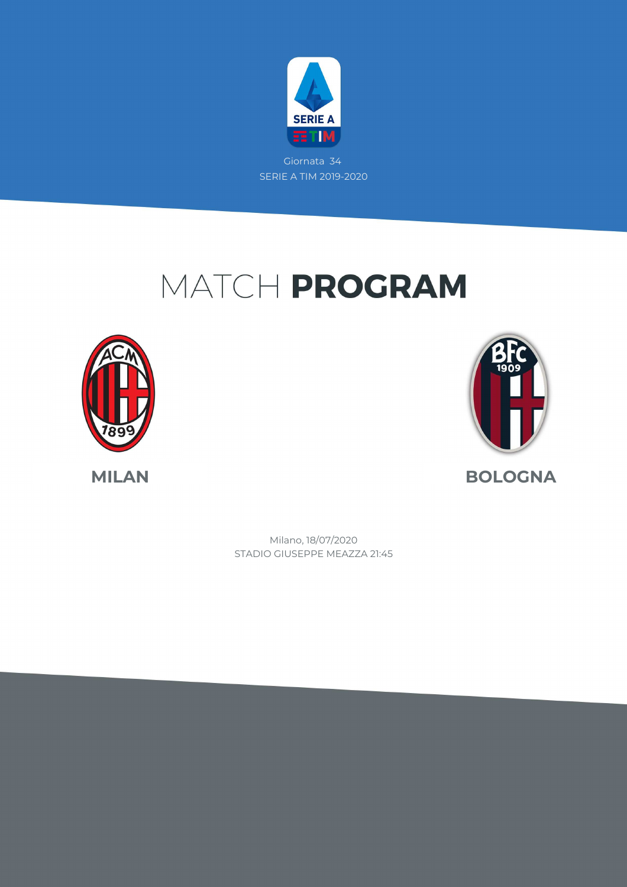

Giornata 34 SERIE A TIM 2019-2020

## MATCH PROGRAM





STADIO GIUSEPPE MEAZZA 21:45 Milano, 18/07/2020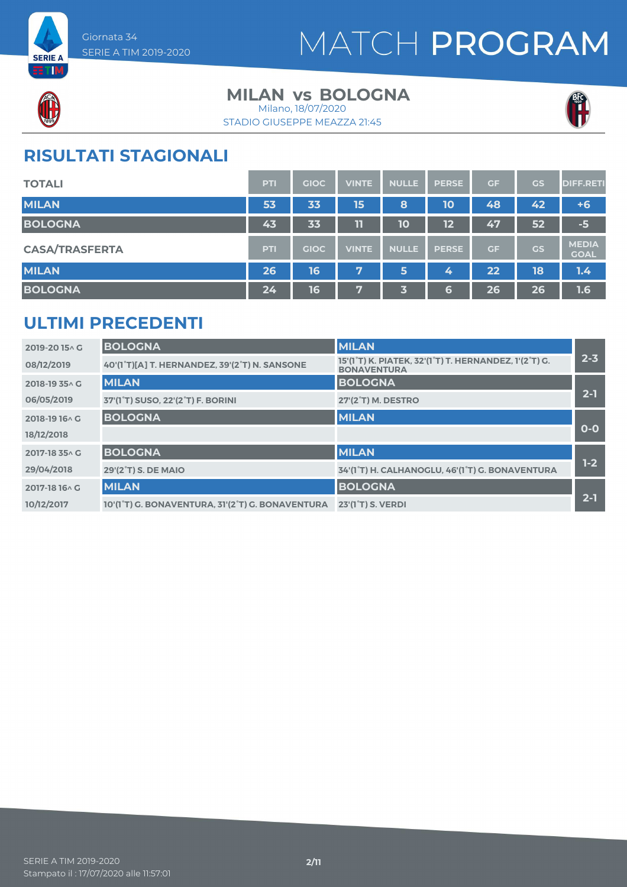



### **MILAN vs BOLOGNA**

STADIO GIUSEPPE MEAZZA 21:45 Milano, 18/07/2020



#### **RISULTATI STAGIONALI**

| <b>TOTALI</b>         | <b>PTI</b> | <b>GIOC</b> | <b>VINTE</b> | <b>NULLE</b> | <b>PERSE</b> | GF | GS        | <b>DIFF.RETI</b>            |
|-----------------------|------------|-------------|--------------|--------------|--------------|----|-----------|-----------------------------|
| <b>MILAN</b>          | 53         | 33          | 15           | 8            | <b>10</b>    | 48 | 42        | $+6$                        |
| <b>BOLOGNA</b>        | 43         | 33          | 11           | 10           | 12           | 47 | 52        | $-5$                        |
| <b>CASA/TRASFERTA</b> | <b>PTI</b> | <b>GIOC</b> | <b>VINTE</b> | <b>NULLE</b> | <b>PERSE</b> | GF | <b>GS</b> | <b>MEDIA</b><br><b>GOAL</b> |
| <b>MILAN</b>          | 26         | 16          | 7            | 5            | 4            | 22 | 18        | 1.4                         |
| <b>BOLOGNA</b>        | 24         | 16          | 7            | 3            | 6            | 26 | 26        | 1.6                         |

#### **ULTIMI PRECEDENTI**

| 2019-2015^G    | <b>BOLOGNA</b>                                   | <b>MILAN</b>                                                                |         |
|----------------|--------------------------------------------------|-----------------------------------------------------------------------------|---------|
| 08/12/2019     | 40'(1°T)[A] T. HERNANDEZ, 39'(2°T) N. SANSONE    | 15'(1°T) K. PIATEK, 32'(1°T) T. HERNANDEZ, 1'(2°T) G.<br><b>BONAVENTURA</b> | $2 - 3$ |
| 2018-19 35 A G | <b>MILAN</b>                                     | <b>BOLOGNA</b>                                                              |         |
| 06/05/2019     | 37'(1°T) SUSO, 22'(2°T) F. BORINI                | 27'(2 <sup>°</sup> T) M. DESTRO                                             | $2 - 1$ |
| 2018-19 16 \ G | <b>BOLOGNA</b>                                   | <b>MILAN</b>                                                                |         |
| 18/12/2018     |                                                  |                                                                             | $O-O$   |
| 2017-18 35 A G | <b>BOLOGNA</b>                                   | <b>MILAN</b>                                                                |         |
| 29/04/2018     | 29'(2°T) S. DE MAIO                              | 34'(1°T) H. CALHANOGLU, 46'(1°T) G. BONAVENTURA                             | $1-2$   |
| 2017-18 16 \ G | <b>MILAN</b>                                     | <b>BOLOGNA</b>                                                              |         |
| 10/12/2017     | 10'(1°T) G. BONAVENTURA, 31'(2°T) G. BONAVENTURA | 23'(1 <sup>°</sup> T) S. VERDI                                              | $2 - 1$ |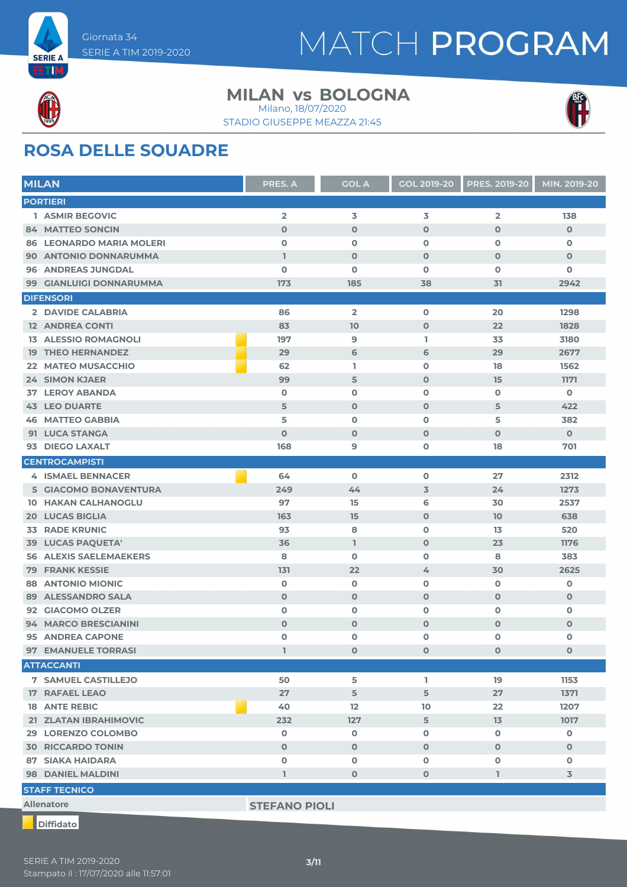

#### **MILAN vs BOLOGNA** Milano, 18/07/2020

STADIO GIUSEPPE MEAZZA 21:45



### **ROSA DELLE SQUADRE**

|     | <b>MILAN</b>                    | PRES. A              | <b>GOL A</b>            | <b>GOL 2019-20</b> | <b>PRES. 2019-20</b>    | MIN. 2019-20 |
|-----|---------------------------------|----------------------|-------------------------|--------------------|-------------------------|--------------|
|     | <b>PORTIERI</b>                 |                      |                         |                    |                         |              |
|     | 1 ASMIR BEGOVIC                 | $\overline{2}$       | 3                       | 3                  | $\overline{\mathbf{2}}$ | 138          |
|     | <b>84 MATTEO SONCIN</b>         | $\mathbf 0$          | $\mathbf 0$             | $\mathbf 0$        | $\mathbf 0$             | $\mathbf 0$  |
|     | <b>86 LEONARDO MARIA MOLERI</b> | $\mathbf 0$          | $\mathbf o$             | $\mathbf 0$        | $\mathbf 0$             | 0            |
|     | 90 ANTONIO DONNARUMMA           | $\mathbf{1}$         | $\mathbf 0$             | $\mathbf 0$        | $\mathbf 0$             | 0            |
| 96. | <b>ANDREAS JUNGDAL</b>          | $\mathbf{o}$         | $\mathbf 0$             | $\mathbf 0$        | $\mathbf 0$             | $\mathbf 0$  |
| 99  | <b>GIANLUIGI DONNARUMMA</b>     | 173                  | 185                     | 38                 | 31                      | 2942         |
|     | <b>DIFENSORI</b>                |                      |                         |                    |                         |              |
|     | 2 DAVIDE CALABRIA               | 86                   | $\overline{\mathbf{2}}$ | $\mathbf 0$        | 20                      | 1298         |
|     | <b>12 ANDREA CONTI</b>          | 83                   | 10                      | $\mathbf 0$        | 22                      | 1828         |
| 13. | <b>ALESSIO ROMAGNOLI</b>        | 197                  | 9                       | ı                  | 33                      | 3180         |
|     | <b>19 THEO HERNANDEZ</b>        | 29                   | 6                       | 6                  | 29                      | 2677         |
| 22  | <b>MATEO MUSACCHIO</b>          | 62                   | L.                      | $\mathbf 0$        | 18                      | 1562         |
|     | <b>24 SIMON KJAER</b>           | 99                   | 5                       | $\mathbf 0$        | 15                      | 1171         |
| 37  | <b>LEROY ABANDA</b>             | $\mathbf 0$          | $\mathbf 0$             | $\mathbf 0$        | $\mathbf 0$             | $\mathbf 0$  |
|     | <b>43 LEO DUARTE</b>            | 5                    | $\mathbf 0$             | $\mathbf 0$        | 5                       | 422          |
|     | <b>46 MATTEO GABBIA</b>         | 5                    | $\mathbf 0$             | $\mathbf 0$        | 5                       | 382          |
|     | 91 LUCA STANGA                  | $\mathbf 0$          | $\mathbf 0$             | $\mathbf 0$        | $\mathbf 0$             | $\mathbf{O}$ |
|     | 93 DIEGO LAXALT                 | 168                  | 9                       | $\mathbf 0$        | 18                      | 701          |
|     | <b>CENTROCAMPISTI</b>           |                      |                         |                    |                         |              |
|     | <b>4 ISMAEL BENNACER</b>        | 64                   | $\mathbf 0$             | $\mathbf 0$        | 27                      | 2312         |
|     | 5 GIACOMO BONAVENTURA           | 249                  | 44                      | $\overline{3}$     | 24                      | 1273         |
| 10  | <b>HAKAN CALHANOGLU</b>         | 97                   | 15                      | 6                  | 30                      | 2537         |
| 20  | <b>LUCAS BIGLIA</b>             | 163                  | 15                      | $\mathbf 0$        | 10                      | 638          |
| 33  | <b>RADE KRUNIC</b>              | 93                   | 8                       | $\mathbf 0$        | 13                      | 520          |
|     | <b>39 LUCAS PAQUETA'</b>        | 36                   | L                       | $\mathbf 0$        | 23                      | 1176         |
|     | <b>56 ALEXIS SAELEMAEKERS</b>   | 8                    | $\mathbf o$             | $\mathbf 0$        | 8                       | 383          |
| 79  | <b>FRANK KESSIE</b>             | 131                  | 22                      | 4                  | 30                      | 2625         |
| 88  | <b>ANTONIO MIONIC</b>           | $\mathbf 0$          | $\mathbf 0$             | $\mathbf 0$        | $\mathbf 0$             | O            |
| 89  | <b>ALESSANDRO SALA</b>          | $\mathbf 0$          | $\mathbf 0$             | $\mathbf 0$        | $\mathbf 0$             | $\mathbf 0$  |
|     | 92 GIACOMO OLZER                | $\mathbf 0$          | $\mathbf 0$             | $\mathbf 0$        | 0                       | 0            |
|     | 94 MARCO BRESCIANINI            | $\mathbf 0$          | $\mathbf 0$             | $\mathbf 0$        | $\mathbf 0$             | 0            |
|     | <b>95 ANDREA CAPONE</b>         | $\mathbf{o}$         | $\mathbf 0$             | $\mathbf o$        | $\mathbf 0$             | 0            |
|     | 97 EMANUELE TORRASI             | L                    | 0                       | $\mathbf 0$        | $\mathbf{0}$            | 0            |
|     | <b>ATTACCANTI</b>               |                      |                         |                    |                         |              |
|     | <b>7 SAMUEL CASTILLEJO</b>      | 50                   | 5                       | L                  | 19                      | 1153         |
|     | 17 RAFAEL LEAO                  | 27                   | 5                       | 5                  | 27                      | 1371         |
|     | <b>18 ANTE REBIC</b>            | 40                   | 12                      | 10                 | 22                      | 1207         |
|     | 21 ZLATAN IBRAHIMOVIC           | 232                  | 127                     | 5                  | 13                      | 1017         |
|     | 29 LORENZO COLOMBO              | $\mathbf 0$          | $\mathbf 0$             | $\mathbf 0$        | 0                       | 0            |
|     | <b>30 RICCARDO TONIN</b>        | $\mathbf 0$          | $\mathbf 0$             | $\mathbf 0$        | $\mathbf 0$             | $\mathbf 0$  |
|     | 87 SIAKA HAIDARA                | O                    | O                       | $\mathbf 0$        | 0                       | 0            |
|     | <b>98 DANIEL MALDINI</b>        | $\mathbf{1}$         | $\mathbf 0$             | $\mathbf 0$        | I.                      | 3            |
|     | <b>STAFF TECNICO</b>            |                      |                         |                    |                         |              |
|     | <b>Allenatore</b>               | <b>STEFANO PIOLI</b> |                         |                    |                         |              |
|     |                                 |                      |                         |                    |                         |              |

**Diffidato**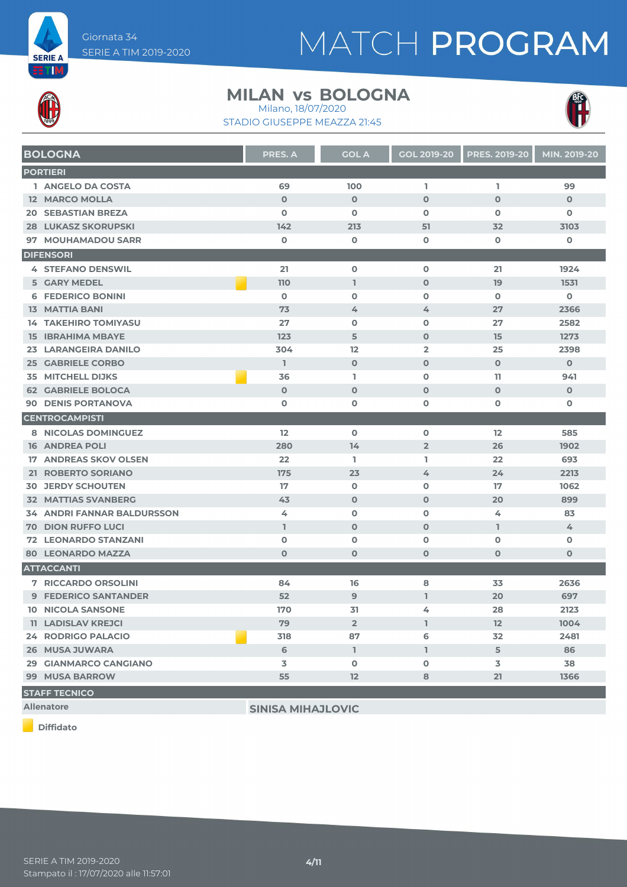



#### **MILAN vs BOLOGNA** Milano, 18/07/2020

STADIO GIUSEPPE MEAZZA 21:45



| <b>BOLOGNA</b>                    | <b>PRES. A</b> | <b>GOL A</b>   | <b>GOL 2019-20</b>      | <b>PRES. 2019-20</b> | MIN. 2019-20 |
|-----------------------------------|----------------|----------------|-------------------------|----------------------|--------------|
| <b>PORTIERI</b>                   |                |                |                         |                      |              |
| 1 ANGELO DA COSTA                 | 69             | 100            | L                       | L.                   | 99           |
| <b>12 MARCO MOLLA</b>             | $\mathbf 0$    | $\mathbf 0$    | $\mathbf{O}$            | $\mathbf{O}$         | $\mathbf 0$  |
| <b>20 SEBASTIAN BREZA</b>         | $\mathbf 0$    | $\mathbf 0$    | 0                       | $\mathbf 0$          | $\mathbf 0$  |
| <b>28 LUKASZ SKORUPSKI</b>        | 142            | 213            | 51                      | 32                   | 3103         |
| 97 MOUHAMADOU SARR                | $\mathbf 0$    | $\mathbf 0$    | 0                       | $\mathbf 0$          | 0            |
| <b>DIFENSORI</b>                  |                |                |                         |                      |              |
| <b>4 STEFANO DENSWIL</b>          | 21             | $\mathbf 0$    | $\mathbf 0$             | 21                   | 1924         |
| <b>5 GARY MEDEL</b>               | 110            | $\mathbf{I}$   | $\mathbf 0$             | 19                   | 1531         |
| <b>6 FEDERICO BONINI</b>          | $\mathbf 0$    | $\mathbf 0$    | 0                       | $\mathbf 0$          | 0            |
| <b>13 MATTIA BANI</b>             | 73             | 4              | 4                       | 27                   | 2366         |
| <b>14 TAKEHIRO TOMIYASU</b>       | 27             | O              | 0                       | 27                   | 2582         |
| <b>15 IBRAHIMA MBAYE</b>          | 123            | 5              | $\mathbf 0$             | 15                   | 1273         |
| 23 LARANGEIRA DANILO              | 304            | 12             | $\overline{\mathbf{2}}$ | 25                   | 2398         |
| <b>25 GABRIELE CORBO</b>          | $\mathbb{I}$   | $\mathbf 0$    | $\mathbf{O}$            | $\mathbf 0$          | $\mathbf 0$  |
| <b>35 MITCHELL DIJKS</b>          | 36             | L              | $\mathbf 0$             | 11                   | 941          |
| <b>62 GABRIELE BOLOCA</b>         | $\mathbf 0$    | $\mathbf 0$    | $\mathbf 0$             | $\mathbf 0$          | $\mathbf 0$  |
| <b>90 DENIS PORTANOVA</b>         | $\mathbf 0$    | $\mathbf 0$    | 0                       | O                    | O            |
| <b>CENTROCAMPISTI</b>             |                |                |                         |                      |              |
| 8 NICOLAS DOMINGUEZ               | 12             | $\mathbf 0$    | $\mathbf 0$             | 12                   | 585          |
| <b>16 ANDREA POLI</b>             | 280            | 14             | $\overline{2}$          | 26                   | 1902         |
| <b>17 ANDREAS SKOV OLSEN</b>      | 22             | L.             | L.                      | 22                   | 693          |
| 21 ROBERTO SORIANO                | 175            | 23             | 4                       | 24                   | 2213         |
| <b>30 JERDY SCHOUTEN</b>          | 17             | O              | 0                       | 17                   | 1062         |
| <b>32 MATTIAS SVANBERG</b>        | 43             | $\mathbf 0$    | $\mathbf 0$             | 20                   | 899          |
| <b>34 ANDRI FANNAR BALDURSSON</b> | 4              | $\mathbf 0$    | 0                       | 4                    | 83           |
| <b>70 DION RUFFO LUCI</b>         | $\mathbf{I}$   | $\mathbf 0$    | $\mathbf{O}$            | L                    | 4            |
| <b>72 LEONARDO STANZANI</b>       | $\mathbf 0$    | O              | 0                       | $\mathbf 0$          | 0            |
| <b>80 LEONARDO MAZZA</b>          | $\mathbf 0$    | $\mathbf 0$    | $\mathbf 0$             | $\mathbf 0$          | $\mathbf 0$  |
| <b>ATTACCANTI</b>                 |                |                |                         |                      |              |
| <b>7 RICCARDO ORSOLINI</b>        | 84             | 16             | 8                       | 33                   | 2636         |
| <b>9 FEDERICO SANTANDER</b>       | 52             | $\overline{9}$ | L                       | 20                   | 697          |
| <b>10 NICOLA SANSONE</b>          | 170            | 31             | 4                       | 28                   | 2123         |
| <b>11 LADISLAV KREJCI</b>         | 79             | $\overline{2}$ | L                       | 12                   | 1004         |
| <b>24 RODRIGO PALACIO</b>         | 318            | 87             | 6                       | 32                   | 2481         |
| 26 MUSA JUWARA                    | 6              | $\mathbb{L}$   | $\mathbb{I}$            | 5                    | 86           |
| 29 GIANMARCO CANGIANO             | 3              | $\mathbf 0$    | 0                       | 3                    | 38           |
| 99 MUSA BARROW                    | 55             | 12             | 8                       | 21                   | 1366         |
| <b>STAFF TECNICO</b>              |                |                |                         |                      |              |

**Diffidato**

**Allenatore SINISA MIHAJLOVIC**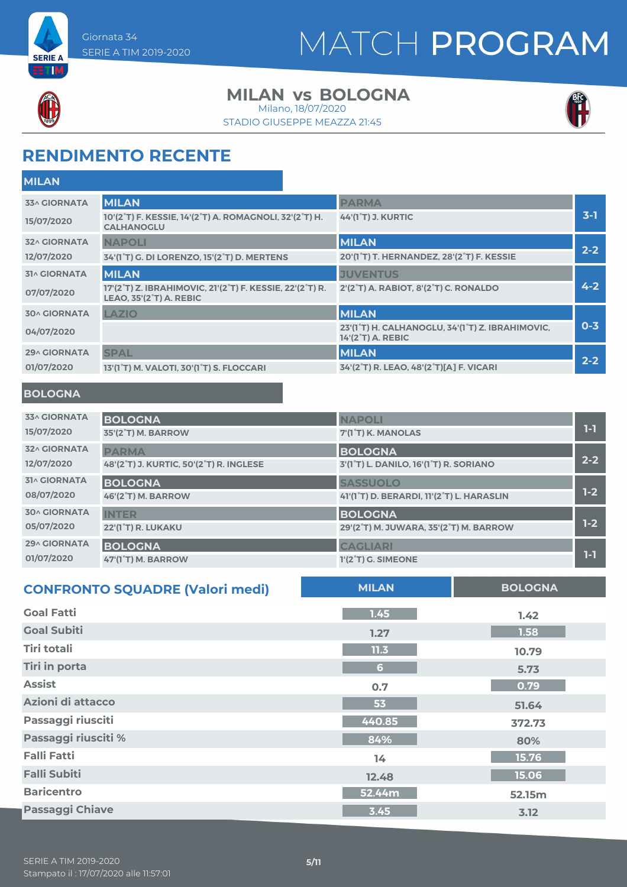



#### **MILAN vs BOLOGNA**

STADIO GIUSEPPE MEAZZA 21:45 Milano, 18/07/2020



### **RENDIMENTO RECENTE**

| <b>MILAN</b>        |                                                                                                                                   |                                                                                    |         |
|---------------------|-----------------------------------------------------------------------------------------------------------------------------------|------------------------------------------------------------------------------------|---------|
| <b>33^ GIORNATA</b> | <b>MILAN</b>                                                                                                                      | <b>PARMA</b>                                                                       |         |
| 15/07/2020          | 10'(2°T) F. KESSIE, 14'(2°T) A. ROMAGNOLI, 32'(2°T) H.<br><b>CALHANOGLU</b>                                                       | <b>44'(1°T) J. KURTIC</b>                                                          | $3-1$   |
| <b>32^ GIORNATA</b> | <b>NAPOLI</b>                                                                                                                     | <b>MILAN</b>                                                                       |         |
| 12/07/2020          | 34'(1°T) G. DI LORENZO, 15'(2°T) D. MERTENS                                                                                       | 20'(1°T) T. HERNANDEZ, 28'(2°T) F. KESSIE                                          | $2 - 2$ |
| <b>31^ GIORNATA</b> | <b>MILAN</b>                                                                                                                      | <b>JUVENTUS</b>                                                                    |         |
| 07/07/2020          | 17'(2 <sup>°</sup> T) Z. IBRAHIMOVIC, 21'(2 <sup>°</sup> T) F. KESSIE, 22'(2 <sup>°</sup> T) R.<br><b>LEAO, 35'(2°T) A. REBIC</b> | 2'(2 <sup>°</sup> T) A. RABIOT, 8'(2 <sup>°</sup> T) C. RONALDO                    | $4 - 2$ |
| <b>30^ GIORNATA</b> | <b>LAZIO</b>                                                                                                                      | <b>MILAN</b>                                                                       |         |
| 04/07/2020          |                                                                                                                                   | 23'(1°T) H. CALHANOGLU, 34'(1°T) Z. IBRAHIMOVIC,<br>14'(2 <sup>°</sup> T) A. REBIC | $0 - 3$ |
| <b>29^ GIORNATA</b> | <b>SPAL</b>                                                                                                                       | <b>MILAN</b>                                                                       |         |
| 01/07/2020          | 13'(1°T) M. VALOTI, 30'(1°T) S. FLOCCARI                                                                                          | 34'(2°T) R. LEAO, 48'(2°T)[A] F. VICARI                                            | $2 - 2$ |
|                     |                                                                                                                                   |                                                                                    |         |

#### **BOLOGNA**

| <b>33^ GIORNATA</b> | <b>BOLOGNA</b>                          | <b>NAPOLI</b>                             | 1-1     |
|---------------------|-----------------------------------------|-------------------------------------------|---------|
| 15/07/2020          | <b>35'(2°T) M. BARROW</b>               | 7'(1°T) K. MANOLAS                        |         |
| <b>32^ GIORNATA</b> | <b>PARMA</b>                            | <b>BOLOGNA</b>                            | $2 - 2$ |
| 12/07/2020          | 48'(2°T) J. KURTIC, 50'(2°T) R. INGLESE | 3'(1°T) L. DANILO, 16'(1°T) R. SORIANO    |         |
| <b>31^ GIORNATA</b> | <b>BOLOGNA</b>                          | <b>SASSUOLO</b>                           |         |
| 08/07/2020          | 46'(2°T) M. BARROW                      | 41'(1°T) D. BERARDI, 11'(2°T) L. HARASLIN | $1-2$   |
| <b>30^ GIORNATA</b> | <b>INTER</b>                            | <b>BOLOGNA</b>                            |         |
| 05/07/2020          | 22'(1°T) R. LUKAKU                      | 29'(2°T) M. JUWARA, 35'(2°T) M. BARROW    | $1-2$   |
| <b>29^ GIORNATA</b> | <b>BOLOGNA</b>                          | <b>CAGLIARI</b>                           |         |
| 01/07/2020          | 47'(1°T) M. BARROW                      | $1'(2°T)$ G. SIMEONE                      | 1-1     |

| <b>CONFRONTO SQUADRE (Valori medi)</b> | <b>MILAN</b>   | <b>BOLOGNA</b> |
|----------------------------------------|----------------|----------------|
| <b>Goal Fatti</b>                      | 1.45           | 1.42           |
| <b>Goal Subiti</b>                     | 1.27           | 1.58           |
| <b>Tiri totali</b>                     | 11.3           | 10.79          |
| <b>Tiri in porta</b>                   | 6 <sup>1</sup> | 5.73           |
| <b>Assist</b>                          | 0.7            | 0.79           |
| Azioni di attacco                      | 53             | 51.64          |
| Passaggi riusciti                      | 440.85         | 372.73         |
| Passaggi riusciti %                    | 84%            | 80%            |
| <b>Falli Fatti</b>                     | 14             | 15.76          |
| <b>Falli Subiti</b>                    | 12.48          | 15.06          |
| <b>Baricentro</b>                      | 52.44m         | 52.15m         |
| <b>Passaggi Chiave</b>                 | 3.45           | 3.12           |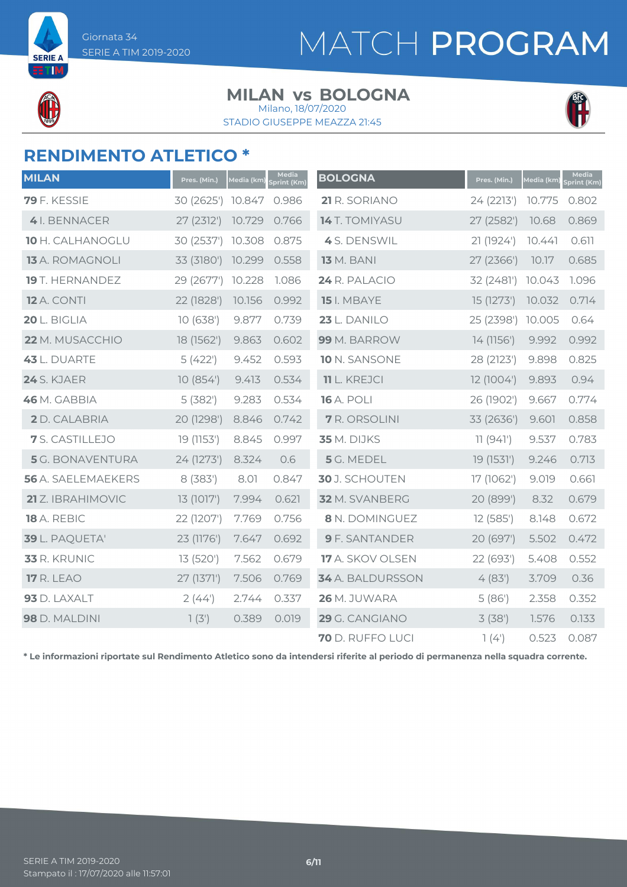**SERIE A** ETIM

# MATCH PROGRAM

#### **MILAN vs BOLOGNA**

STADIO GIUSEPPE MEAZZA 21:45 Milano, 18/07/2020



### **RENDIMENTO ATLETICO \***

| <b>MILAN</b>              | Pres. (Min.) | Media (km) | Media<br>Sprint (Km) | <b>BOLOGNA</b>        | Pres. (Min.) | Media (km) | Media<br>Sprint (Km) |
|---------------------------|--------------|------------|----------------------|-----------------------|--------------|------------|----------------------|
| <b>79</b> F. KESSIE       | 30 (2625')   | 10.847     | 0.986                | 21 R. SORIANO         | 24 (2213')   | 10.775     | 0.802                |
| 4 I. BENNACER             | 27 (2312')   | 10.729     | 0.766                | <b>14</b> T. TOMIYASU | 27 (2582')   | 10.68      | 0.869                |
| 10 H. CALHANOGLU          | 30 (2537')   | 10.308     | 0.875                | 4 S. DENSWIL          | 21 (1924')   | 10.441     | 0.611                |
| <b>13</b> A. ROMAGNOLI    | 33 (3180')   | 10.299     | 0.558                | <b>13</b> M. BANI     | 27 (2366')   | 10.17      | 0.685                |
| <b>19</b> T. HERNANDEZ    | 29 (2677')   | 10.228     | 1.086                | 24 R. PALACIO         | 32 (2481')   | 10.043     | 1.096                |
| <b>12</b> A. CONTI        | 22 (1828')   | 10.156     | 0.992                | 15 I. MBAYE           | 15 (1273')   | 10.032     | 0.714                |
| 20 L. BIGLIA              | 10(638)      | 9.877      | 0.739                | 23 L. DANILO          | 25 (2398')   | 10.005     | 0.64                 |
| <b>22</b> M. MUSACCHIO    | 18 (1562')   | 9.863      | 0.602                | 99 M. BARROW          | 14 (1156')   | 9.992      | 0.992                |
| 43 L. DUARTE              | 5(422)       | 9.452      | 0.593                | 10 N. SANSONE         | 28 (2123')   | 9.898      | 0.825                |
| 24 S. KJAER               | 10(854)      | 9.413      | 0.534                | <b>11</b> L. KREJCI   | 12 (1004')   | 9.893      | 0.94                 |
| 46 M. GABBIA              | 5(382)       | 9.283      | 0.534                | <b>16 A. POLI</b>     | 26 (1902')   | 9.667      | 0.774                |
| 2 D. CALABRIA             | 20 (1298')   | 8.846      | 0.742                | <b>7</b> R. ORSOLINI  | 33 (2636')   | 9.601      | 0.858                |
| 7 S. CASTILLEJO           | 19 (1153')   | 8.845      | 0.997                | <b>35</b> M. DIJKS    | 11(941)      | 9.537      | 0.783                |
| <b>5</b> G. BONAVENTURA   | 24 (1273')   | 8.324      | 0.6                  | 5 G. MEDEL            | 19 (1531')   | 9.246      | 0.713                |
| <b>56</b> A. SAELEMAEKERS | 8 (383')     | 8.01       | 0.847                | 30 J. SCHOUTEN        | 17 (1062')   | 9.019      | 0.661                |
| 21 Z. IBRAHIMOVIC         | 13 (1017')   | 7.994      | 0.621                | 32 M. SVANBERG        | 20 (899')    | 8.32       | 0.679                |
| 18 A. REBIC               | 22 (1207')   | 7.769      | 0.756                | 8 N. DOMINGUEZ        | 12(585)      | 8.148      | 0.672                |
| 39 L. PAQUETA'            | 23 (1176')   | 7.647      | 0.692                | <b>9</b> F. SANTANDER | 20 (697')    | 5.502      | 0.472                |
| 33 R. KRUNIC              | 13 (520')    | 7.562      | 0.679                | 17 A. SKOV OLSEN      | 22 (693')    | 5.408      | 0.552                |
| <b>17 R. LEAO</b>         | 27 (1371')   | 7.506      | 0.769                | 34 A. BALDURSSON      | 4(83)        | 3.709      | 0.36                 |
| 93 D. LAXALT              | 2(44)        | 2.744      | 0.337                | 26 M. JUWARA          | 5(86)        | 2.358      | 0.352                |
| 98 D. MALDINI             | 7(3)         | 0.389      | 0.019                | 29 G. CANGIANO        | 3(38)        | 1.576      | 0.133                |
|                           |              |            |                      | 70 D. RUFFO LUCI      | 1(4)         | 0.523      | 0.087                |

**\* Le informazioni riportate sul Rendimento Atletico sono da intendersi riferite al periodo di permanenza nella squadra corrente.**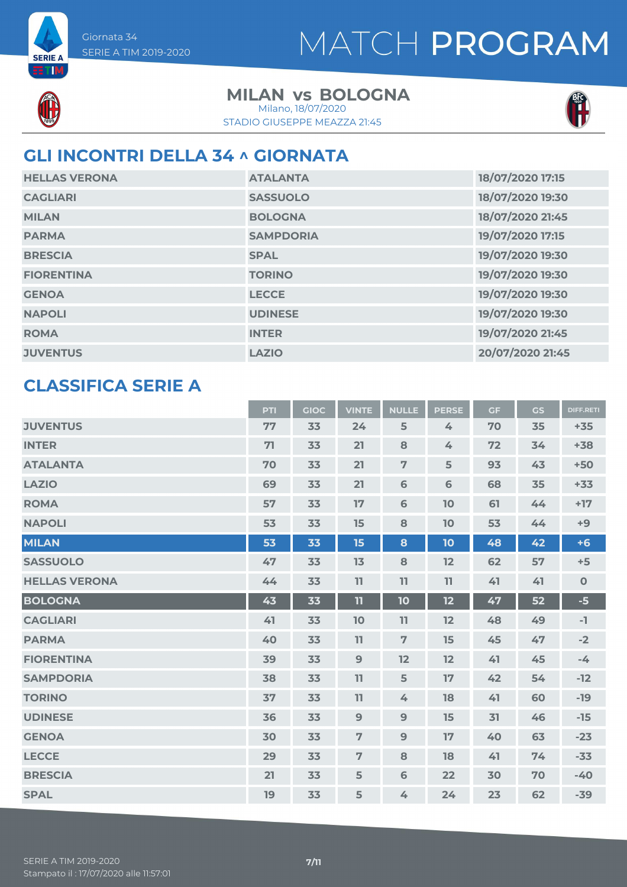

**SERIE A** ETM

### **MILAN vs BOLOGNA**

STADIO GIUSEPPE MEAZZA 21:45 Milano, 18/07/2020



### **GLI INCONTRI DELLA 34 ^ GIORNATA**

| <b>HELLAS VERONA</b> | <b>ATALANTA</b>  | 18/07/2020 17:15 |
|----------------------|------------------|------------------|
| <b>CAGLIARI</b>      | <b>SASSUOLO</b>  | 18/07/2020 19:30 |
| <b>MILAN</b>         | <b>BOLOGNA</b>   | 18/07/2020 21:45 |
| <b>PARMA</b>         | <b>SAMPDORIA</b> | 19/07/2020 17:15 |
| <b>BRESCIA</b>       | <b>SPAL</b>      | 19/07/2020 19:30 |
| <b>FIORENTINA</b>    | <b>TORINO</b>    | 19/07/2020 19:30 |
| <b>GENOA</b>         | <b>LECCE</b>     | 19/07/2020 19:30 |
| <b>NAPOLI</b>        | <b>UDINESE</b>   | 19/07/2020 19:30 |
| <b>ROMA</b>          | <b>INTER</b>     | 19/07/2020 21:45 |
| <b>JUVENTUS</b>      | <b>LAZIO</b>     | 20/07/2020 21:45 |

#### **CLASSIFICA SERIE A**

|                      | PTI | <b>GIOC</b> | <b>VINTE</b>   | <b>NULLE</b>   | <b>PERSE</b> | <b>GF</b> | <b>GS</b> | <b>DIFF.RETI</b> |
|----------------------|-----|-------------|----------------|----------------|--------------|-----------|-----------|------------------|
| <b>JUVENTUS</b>      | 77  | 33          | 24             | 5              | 4            | 70        | 35        | $+35$            |
| <b>INTER</b>         | 71  | 33          | 21             | 8              | 4            | 72        | 34        | $+38$            |
| <b>ATALANTA</b>      | 70  | 33          | 21             | $\overline{7}$ | 5            | 93        | 43        | $+50$            |
| <b>LAZIO</b>         | 69  | 33          | 21             | 6              | 6            | 68        | 35        | $+33$            |
| <b>ROMA</b>          | 57  | 33          | 17             | $6\phantom{1}$ | 10           | 61        | 44        | $+17$            |
| <b>NAPOLI</b>        | 53  | 33          | 15             | 8              | 10           | 53        | 44        | $+9$             |
| <b>MILAN</b>         | 53  | 33          | 15             | 8              | 10           | 48        | 42        | $+6$             |
| <b>SASSUOLO</b>      | 47  | 33          | 13             | 8              | 12           | 62        | 57        | $+5$             |
| <b>HELLAS VERONA</b> | 44  | 33          | 11             | 11             | 11           | 41        | 41        | $\mathbf 0$      |
| <b>BOLOGNA</b>       | 43  | 33          | 11             | 10             | 12           | 47        | 52        | $-5$             |
| <b>CAGLIARI</b>      | 41  | 33          | 10             | 11             | 12           | 48        | 49        | -1               |
| <b>PARMA</b>         | 40  | 33          | 11             | $\overline{7}$ | 15           | 45        | 47        | $-2$             |
| <b>FIORENTINA</b>    | 39  | 33          | 9              | 12             | 12           | 41        | 45        | $-4$             |
| <b>SAMPDORIA</b>     | 38  | 33          | 11             | 5              | 17           | 42        | 54        | $-12$            |
| <b>TORINO</b>        | 37  | 33          | 11             | 4              | 18           | 41        | 60        | $-19$            |
| <b>UDINESE</b>       | 36  | 33          | $\overline{9}$ | 9              | 15           | 31        | 46        | $-15$            |
| <b>GENOA</b>         | 30  | 33          | $\overline{7}$ | 9              | 17           | 40        | 63        | $-23$            |
| <b>LECCE</b>         | 29  | 33          | 7              | 8              | 18           | 41        | 74        | $-33$            |
| <b>BRESCIA</b>       | 21  | 33          | 5              | 6              | 22           | 30        | 70        | $-40$            |
| <b>SPAL</b>          | 19  | 33          | 5              | 4              | 24           | 23        | 62        | $-39$            |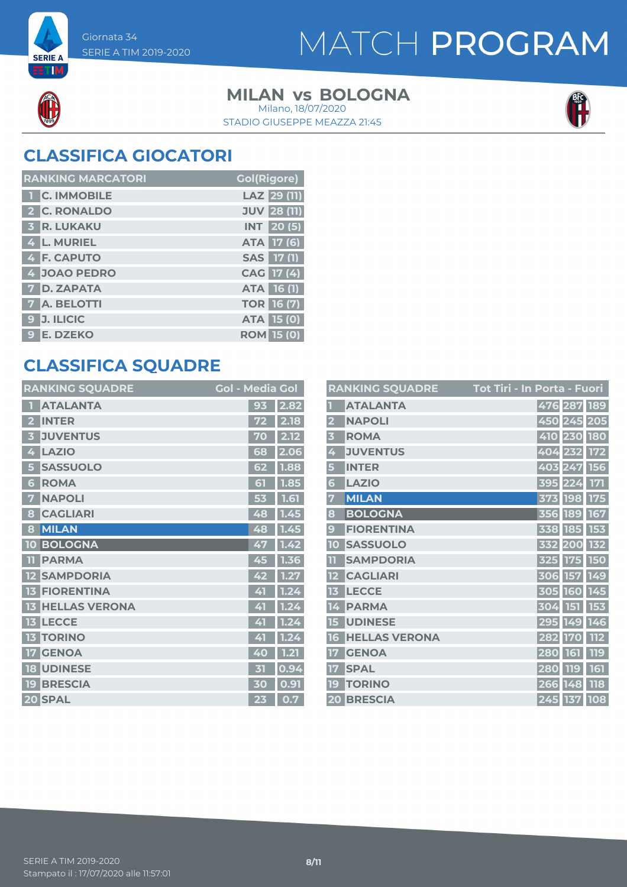**SERIE A ETM** 

### MATCH PROGRAM

### **MILAN vs BOLOGNA**

STADIO GIUSEPPE MEAZZA 21:45 Milano, 18/07/2020



### **CLASSIFICA GIOCATORI**

| <b>RANKING MARCATORI</b> | <b>Gol(Rigore)</b> |
|--------------------------|--------------------|
| <b>1 C. IMMOBILE</b>     | LAZ 29 (11)        |
| 2 C. RONALDO             | <b>JUV 28 (11)</b> |
| <b>3 R. LUKAKU</b>       | <b>INT</b> 20(5)   |
| 4 L. MURIEL              | ATA 17 (6)         |
| 4 F. CAPUTO              | SAS 17 (1)         |
| 4 JOAO PEDRO             | CAG 17 (4)         |
| <b>7 D. ZAPATA</b>       | ATA 16 (1)         |
| <b>7 A. BELOTTI</b>      | <b>TOR 16 (7)</b>  |
| 9 J. ILICIC              | <b>ATA 15 (0)</b>  |
| 9 E. DZEKO               | <b>ROM 15 (0)</b>  |

#### **CLASSIFICA SQUADRE**

| <b>RANKING SQUADRE</b>     | <b>Gol - Media Gol</b> |      |
|----------------------------|------------------------|------|
| <b>ATALANTA</b>            | 93                     | 2.82 |
| <b>INTER</b><br>2          | 72                     | 2.18 |
| <b>JUVENTUS</b>            | 70                     | 2.12 |
| <b>LAZIO</b><br>4          | 68                     | 2.06 |
| <b>SASSUOLO</b><br>5       | 62                     | 1.88 |
| <b>ROMA</b><br>6           | 51                     | 1.85 |
| <b>NAPOLI</b><br>7         | 53                     | 1.61 |
| <b>CAGLIARI</b><br>8       | 48                     | 1.45 |
| <b>MILAN</b><br>8          | 48                     | 1.45 |
| <b>BOLOGNA</b><br>10       | 47                     | 1.42 |
| <b>PARMA</b><br>TĪ         | 45                     | 1.36 |
| <b>SAMPDORIA</b>           | 42                     | 1.27 |
| <b>FIORENTINA</b><br>13    | 41                     | 1.24 |
| <b>HELLAS VERONA</b><br>13 | 41                     | 1.24 |
| <b>LECCE</b><br>13         | 41                     | 1.24 |
| <b>TORINO</b><br>13        | 41                     | 1.24 |
| <b>GENOA</b><br>17         | 40                     | 1.21 |
| <b>UDINESE</b><br>18       | 内                      | 0.94 |
| <b>BRESCIA</b><br>19       | 30                     | 0.91 |
| 20 SPAL                    | 23                     | 0.7  |

|                         | <b>RANKING SQUADRE</b> | Tot Tiri - In Porta - Fuori     |
|-------------------------|------------------------|---------------------------------|
|                         | <b>ATALANTA</b>        | 476 287<br>189                  |
| $\overline{\mathbf{2}}$ | <b>NAPOLI</b>          | 450 245 205                     |
| 3                       | <b>ROMA</b>            | 410 230 180                     |
| 4                       | <b>JUVENTUS</b>        | 404<br>232<br><b>172</b>        |
| 5                       | <b>INTER</b>           | 403 247<br><b>156</b>           |
| 6                       | <b>LAZIO</b>           | 171<br>395<br>224               |
| 7                       | <b>MILAN</b>           | <b>198</b><br><b>175</b><br>373 |
| 8                       | <b>BOLOGNA</b>         | 189<br>167<br>356               |
| $\mathbf{g}$            | <b>FIORENTINA</b>      | 185<br>153<br>338               |
| 10                      | <b>SASSUOLO</b>        | 132<br>200<br>332               |
| π                       | <b>SAMPDORIA</b>       | <b>150</b><br>325<br><b>175</b> |
|                         | <b>CAGLIARI</b>        | 149<br>306<br><b>157</b>        |
| 13                      | <b>LECCE</b>           | 305 160<br>145                  |
| 14                      | <b>PARMA</b>           | 153<br><b>151</b><br>304        |
| 15                      | <b>UDINESE</b>         | 295<br>149<br>146               |
| 16                      | <b>HELLAS VERONA</b>   | 112<br>282<br><b>170</b>        |
| 17                      | <b>GENOA</b>           | 119<br>161<br>280               |
| 17                      | <b>SPAL</b>            | 161<br>280<br>119               |
| 19                      | <b>TORINO</b>          | <b>118</b><br>266<br>148        |
|                         | 20 BRESCIA             | $\overline{245}$ 137<br>108     |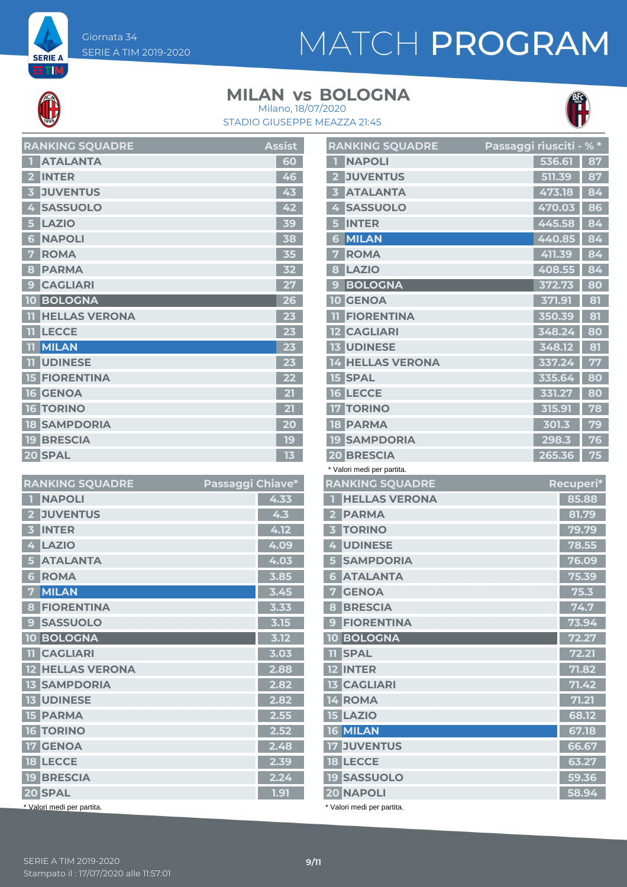Giornata 34 SERIE A TIM 2019-2020

**SERIE A** ETM,

# MATCH PROGRAM

#### **MILAN vs BOLOGNA**



STADIO GIUSEPPE MEAZZA 21:45 Milano, 18/07/2020

| <b>RANKING SQUADRE</b>    | <b>Assist</b> |
|---------------------------|---------------|
| <b>ATALANTA</b>           | 60            |
| <b>INTER</b>              | 46            |
| <b>JUVENTUS</b>           | 43            |
| <b>SASSUOLO</b>           | 42            |
| <b>LAZIO</b><br>5         | 39            |
| <b>NAPOLI</b><br>6        | 38            |
| <b>ROMA</b>               | 35            |
| <b>PARMA</b><br>ន         | 32            |
| <b>CAGLIARI</b><br>9      |               |
| <b>BOLOGNA</b><br>10      | 26            |
| <b>HELLAS VERONA</b>      | 23            |
| <b>LECCE</b>              | 23            |
| <b>MILAN</b><br>11        | 23            |
| <b>UDINESE</b><br>m       | 23            |
| <b>FIORENTINA</b>         | 22            |
| <b>GENOA</b><br><b>16</b> |               |
| <b>TORINO</b><br>6.       | $\mathbf{2}$  |
| <b>SAMPDORIA</b><br>18    | 20            |
| <b>19 BRESCIA</b>         | 19            |
| 20 SPAL                   | 13            |

| <b>RANKING SQUADRE</b>                    | Passaggi Chiave* |
|-------------------------------------------|------------------|
| <b>NAPOLI</b>                             | 4.33             |
| <b>JUVENTUS</b>                           | 4.3              |
| <b>INTER</b>                              | 4.12             |
| <b>LAZIO</b><br>4                         | 4.09             |
| <b>ATALANTA</b>                           | 4.03             |
| <b>ROMA</b><br>6                          | 3.85             |
| <b>MILAN</b><br>7                         | 3.45             |
| <b>FIORENTINA</b><br>8                    | 3.33             |
| <b>SASSUOLO</b><br>g                      | 3.15             |
| <b>BOLOGNA</b><br>10                      | 3.12             |
| <b>TT</b> CAGLIARI                        | 3.03             |
| <b>HELLAS VERONA</b><br>$12 \overline{ }$ | 2.88             |
| <b>SAMPDORIA</b>                          | 2.82             |
| <b>UDINESE</b><br>13 <sub>1</sub>         | 2.82             |
| <b>15 PARMA</b>                           | 2.55             |
| <b>TORINO</b><br>16                       | 2.52             |
| <b>17 GENOA</b>                           | 2.48             |
| <b>18 LECCE</b>                           | 2.39             |
| <b>19 BRESCIA</b>                         | 2.24             |
| 20 SPAL                                   | 1.91             |
| * Valori medi per partita.                |                  |

| <b>RANKING SQUADRE</b>                 | Passaggi riusciti - % * |           |                 |
|----------------------------------------|-------------------------|-----------|-----------------|
| <b>NAPOLI</b>                          |                         | 536.61    | 87              |
| <b>JUVENTUS</b><br>$\mathbf{2}$        |                         | 511.39    | 87              |
| <b>ATALANTA</b><br>3                   |                         | 473.18    | 84              |
| <b>SASSUOLO</b><br>4                   |                         | 470.03    | 86              |
| <b>INTER</b><br>5                      |                         | 445.58    | 84              |
| <b>MILAN</b><br>6                      |                         | 440.85    | 84              |
| <b>ROMA</b><br>7                       |                         | 411.39    | $\overline{84}$ |
| LAZIO<br>8                             |                         | 408.55    | 84              |
| <b>BOLOGNA</b><br>9                    |                         | 372.73    | 80              |
| <b>10 GENOA</b>                        |                         | 371.91    | 81              |
| <b>FIORENTINA</b><br>m                 |                         | 350.39    | 81              |
| <b>12 CAGLIARI</b>                     |                         | 348.24    | 80              |
| <b>13 UDINESE</b>                      |                         | 348.12    | 81              |
| <b>14 HELLAS VERONA</b>                |                         | 337.24    | 77              |
| <b>15 SPAL</b>                         |                         | 335.64    | 80              |
| <b>16 LECCE</b>                        |                         | 331.27    | 80              |
| <b>TORINO</b><br>17                    |                         | 315.91    | 78              |
| <b>18 PARMA</b>                        |                         | 301.3     | 79              |
| <b>19 SAMPDORIA</b>                    |                         | 298.3     | 76              |
| <b>20 BRESCIA</b>                      |                         | 265.36    | 75              |
| * Valori medi per partita.             |                         |           |                 |
| <b>RANKING SQUADRE</b>                 |                         | Recuperi* |                 |
| <b>HELLAS VERONA</b><br>$1 -$          |                         |           | 85.88           |
| 2 PARMA                                |                         |           | 81.79           |
|                                        |                         |           |                 |
| <b>TORINO</b><br>$\overline{3}$        |                         |           | 79.79           |
| <b>UDINESE</b><br>4 <sup>1</sup>       |                         |           | 78.55           |
| <b>SAMPDORIA</b><br>5                  |                         |           | 76.09           |
| <b>ATALANTA</b><br>6 <sup>1</sup>      |                         |           | 75.39           |
| <b>GENOA</b><br>7                      |                         |           | 75.3            |
| <b>8 BRESCIA</b>                       |                         |           | 74.7            |
| <b>9 FIORENTINA</b>                    |                         |           | 73.94           |
| <b>10 BOLOGNA</b>                      |                         |           | 72.27           |
| <b>11 SPAL</b>                         |                         |           | 72.21           |
| 12 INTER                               |                         |           | 71.82           |
| <b>13 CAGLIARI</b>                     |                         |           | 71.42           |
| 14 ROMA                                |                         |           | 71.21           |
| <b>15 LAZIO</b>                        |                         |           | 68.12           |
| <b>16 MILAN</b>                        |                         |           | 67.18           |
| <b>17 JUVENTUS</b>                     |                         |           | 66.67           |
| <b>18 LECCE</b>                        |                         |           | 63.27           |
| <b>19 SASSUOLO</b><br><b>20 NAPOLI</b> |                         |           | 59.36<br>58.94  |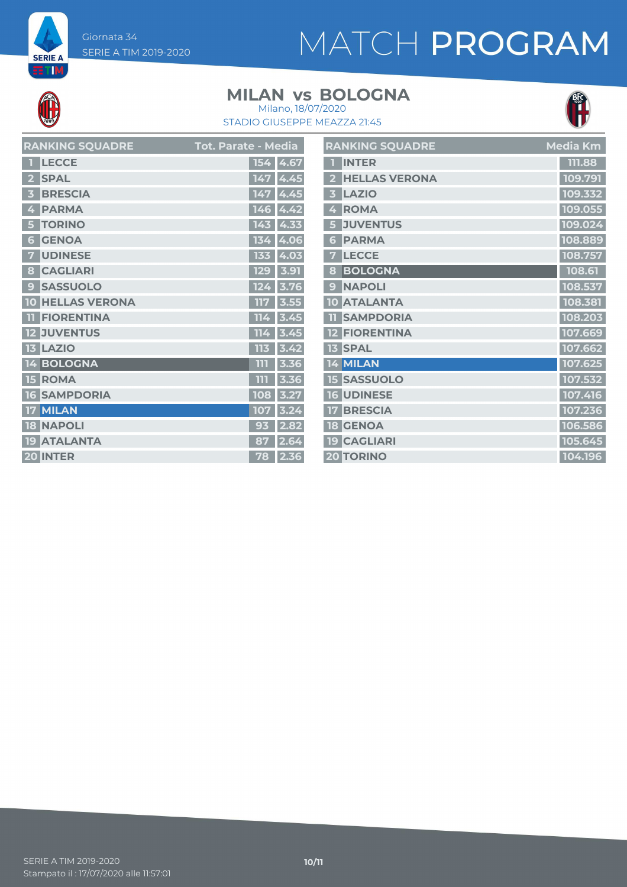Giornata 34 SERIE A TIM 2019-2020

# MATCH PROGRAM

**SERIE A ETM** 

#### **MILAN vs BOLOGNA**



STADIO GIUSEPPE MEAZZA 21:45 Milano, 18/07/2020

| <b>RANKING SQUADRE</b>                     | <b>Tot. Parate - Media</b> |
|--------------------------------------------|----------------------------|
| <b>LECCE</b>                               | 154<br>4.67                |
| <b>SPAL</b>                                | 4.45                       |
| <b>BRESCIA</b>                             | 4.45<br>147                |
| <b>PARMA</b><br>4                          | 146<br>4.42                |
| <b>TORINO</b>                              | 143<br>4.33                |
| <b>GENOA</b><br>$\overline{\bullet}$       | 4.06<br>13                 |
| <b>UDINESE</b>                             | 133<br>4.03                |
| <b>CAGLIARI</b><br>8                       | 3.91<br><b>129</b>         |
| <b>SASSUOLO</b><br>$\mathbf{\overline{e}}$ | 3.76<br>124                |
| <b>HELLAS VERONA</b><br>10                 | пF<br>3.55                 |
| <b>FIORENTINA</b>                          | TT.<br>3.45<br>Z           |
| <b>JUVENTUS</b>                            | TT.<br>3.45<br>4           |
| <b>LAZIO</b>                               | 113<br>3.42                |
| <b>BOLOGNA</b><br>14                       | m<br>3.36                  |
| <b>ROMA</b><br>п<br>51                     | 3.36<br>m                  |
| <b>SAMPDORIA</b><br>6                      | 108<br>3.27                |
| <b>MILAN</b>                               | 3.24<br>107                |
| <b>NAPOLI</b><br>18                        | 93<br>2.82                 |
| <b>ATALANTA</b><br>19                      | 87<br>64                   |
| <b>INTER</b><br>20 <sub>l</sub>            | 2.36<br>78                 |

|                         | <b>RANKING SQUADRE</b> | Media Km |
|-------------------------|------------------------|----------|
| ī                       | <b>INTER</b>           | 111.88   |
| $\overline{\mathbf{2}}$ | <b>HELLAS VERONA</b>   | 109.791  |
| $\overline{\mathbf{3}}$ | <b>LAZIO</b>           | 109.332  |
| 4                       | <b>ROMA</b>            | 109.055  |
| 5                       | <b>JUVENTUS</b>        | 109.024  |
| 6                       | <b>PARMA</b>           | 108.889  |
| 7                       | <b>LECCE</b>           | 108.757  |
| 8                       | <b>BOLOGNA</b>         | 108.61   |
| 9                       | <b>NAPOLI</b>          | 108.537  |
| 10                      | <b>ATALANTA</b>        | 108.381  |
| T                       | <b>SAMPDORIA</b>       | 108.203  |
|                         | <b>12 FIORENTINA</b>   | 107.669  |
|                         | <b>13 SPAL</b>         | 107.662  |
| 14                      | <b>MILAN</b>           | 107.625  |
|                         | <b>15 SASSUOLO</b>     | 107.532  |
|                         | <b>16 UDINESE</b>      | 107.416  |
|                         | <b>17 BRESCIA</b>      | 107.236  |
|                         | <b>18 GENOA</b>        | 106.586  |
|                         | <b>19 CAGLIARI</b>     | 105.645  |
|                         | <b>20 TORINO</b>       | 104.196  |